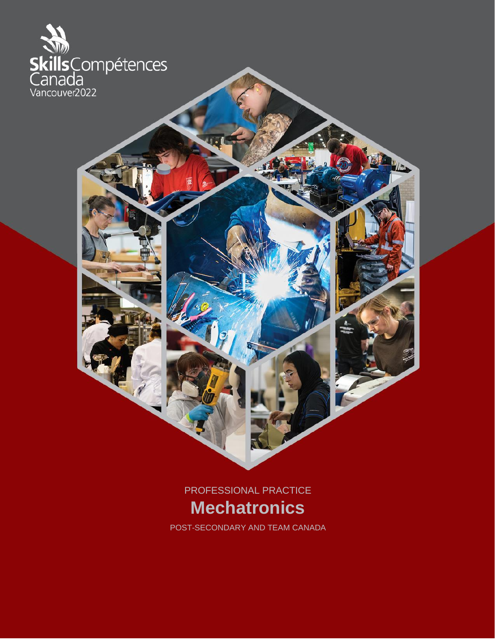

PROFESSIONAL PRACTICE **Mechatronics**

POST-SECONDARY AND TEAM CANADA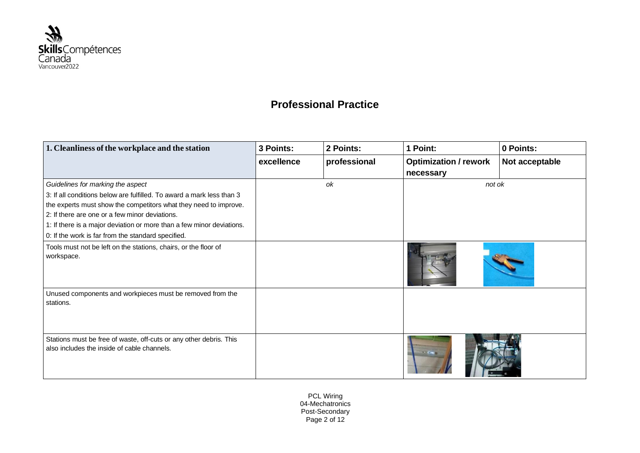

## **Professional Practice**

| 1. Cleanliness of the workplace and the station                                                                   | 3 Points:  | 2 Points:    | 1 Point:                     | 0 Points:      |
|-------------------------------------------------------------------------------------------------------------------|------------|--------------|------------------------------|----------------|
|                                                                                                                   | excellence | professional | <b>Optimization / rework</b> | Not acceptable |
|                                                                                                                   |            |              | necessary                    |                |
| Guidelines for marking the aspect                                                                                 |            | ok           | not ok                       |                |
| 3: If all conditions below are fulfilled. To award a mark less than 3                                             |            |              |                              |                |
| the experts must show the competitors what they need to improve.                                                  |            |              |                              |                |
| 2: If there are one or a few minor deviations.                                                                    |            |              |                              |                |
| 1: If there is a major deviation or more than a few minor deviations.                                             |            |              |                              |                |
| 0: If the work is far from the standard specified.                                                                |            |              |                              |                |
| Tools must not be left on the stations, chairs, or the floor of<br>workspace.                                     |            |              |                              |                |
| Unused components and workpieces must be removed from the<br>stations.                                            |            |              |                              |                |
| Stations must be free of waste, off-cuts or any other debris. This<br>also includes the inside of cable channels. |            |              | <b>START OF</b>              |                |

PCL Wiring 04-Mechatronics Post-Secondary Page 2 of 12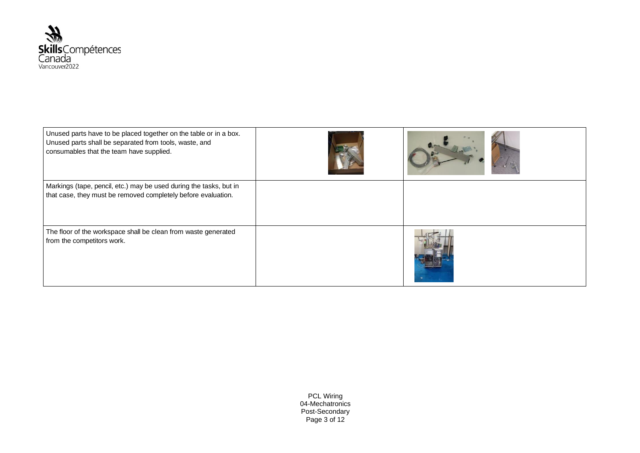

| Unused parts have to be placed together on the table or in a box.<br>Unused parts shall be separated from tools, waste, and<br>consumables that the team have supplied. |  |
|-------------------------------------------------------------------------------------------------------------------------------------------------------------------------|--|
| Markings (tape, pencil, etc.) may be used during the tasks, but in<br>that case, they must be removed completely before evaluation.                                     |  |
| The floor of the workspace shall be clean from waste generated<br>from the competitors work.                                                                            |  |

PCL Wiring 04-Mechatronics Post-Secondary Page 3 of 12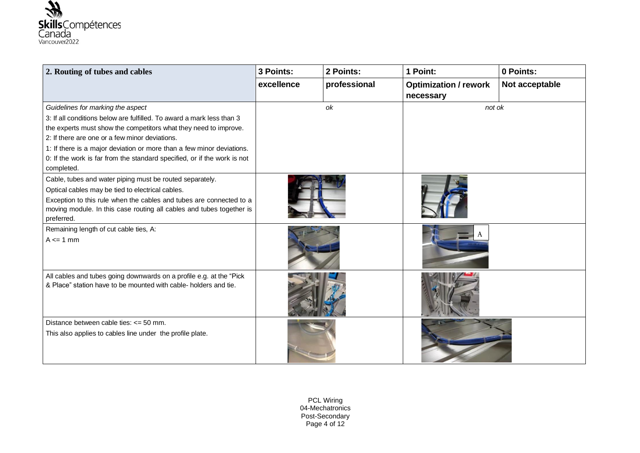

| 2. Routing of tubes and cables                                           | 3 Points:  | 2 Points:    | 1 Point:                     | 0 Points:      |
|--------------------------------------------------------------------------|------------|--------------|------------------------------|----------------|
|                                                                          | excellence | professional | <b>Optimization / rework</b> | Not acceptable |
|                                                                          |            |              | necessary                    |                |
| Guidelines for marking the aspect                                        |            | ok           | not ok                       |                |
| 3: If all conditions below are fulfilled. To award a mark less than 3    |            |              |                              |                |
| the experts must show the competitors what they need to improve.         |            |              |                              |                |
| 2: If there are one or a few minor deviations.                           |            |              |                              |                |
| 1: If there is a major deviation or more than a few minor deviations.    |            |              |                              |                |
| 0: If the work is far from the standard specified, or if the work is not |            |              |                              |                |
| completed.                                                               |            |              |                              |                |
| Cable, tubes and water piping must be routed separately.                 |            |              |                              |                |
| Optical cables may be tied to electrical cables.                         |            |              |                              |                |
| Exception to this rule when the cables and tubes are connected to a      |            |              |                              |                |
| moving module. In this case routing all cables and tubes together is     |            |              |                              |                |
| preferred.                                                               |            |              |                              |                |
| Remaining length of cut cable ties, A:                                   |            |              |                              |                |
| $A \leq 1$ mm                                                            |            |              |                              |                |
|                                                                          |            |              |                              |                |
|                                                                          |            |              |                              |                |
| All cables and tubes going downwards on a profile e.g. at the "Pick      |            |              |                              |                |
| & Place" station have to be mounted with cable- holders and tie.         |            |              |                              |                |
|                                                                          |            |              |                              |                |
|                                                                          |            |              |                              |                |
| Distance between cable ties: $\leq$ 50 mm.                               |            |              |                              |                |
| This also applies to cables line under the profile plate.                |            |              |                              |                |
|                                                                          |            |              |                              |                |
|                                                                          |            |              |                              |                |

PCL Wiring 04-Mechatronics Post-Secondary Page 4 of 12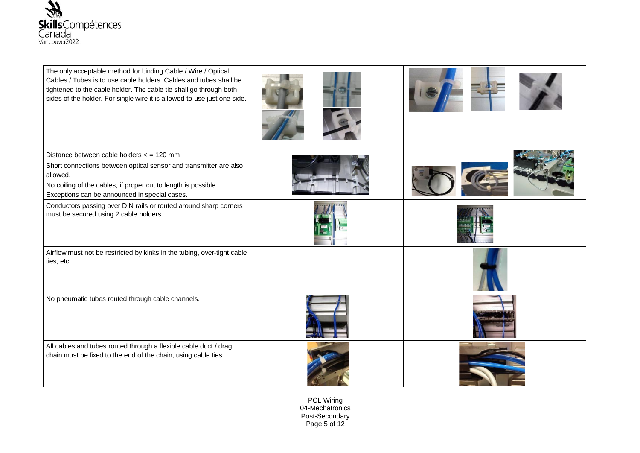

| The only acceptable method for binding Cable / Wire / Optical<br>Cables / Tubes is to use cable holders. Cables and tubes shall be<br>tightened to the cable holder. The cable tie shall go through both<br>sides of the holder. For single wire it is allowed to use just one side. |  |
|--------------------------------------------------------------------------------------------------------------------------------------------------------------------------------------------------------------------------------------------------------------------------------------|--|
| Distance between cable holders < = 120 mm                                                                                                                                                                                                                                            |  |
| Short connections between optical sensor and transmitter are also<br>allowed.                                                                                                                                                                                                        |  |
| No coiling of the cables, if proper cut to length is possible.<br>Exceptions can be announced in special cases.                                                                                                                                                                      |  |
| Conductors passing over DIN rails or routed around sharp corners<br>must be secured using 2 cable holders.                                                                                                                                                                           |  |
| Airflow must not be restricted by kinks in the tubing, over-tight cable<br>ties, etc.                                                                                                                                                                                                |  |
| No pneumatic tubes routed through cable channels.                                                                                                                                                                                                                                    |  |
| All cables and tubes routed through a flexible cable duct / drag<br>chain must be fixed to the end of the chain, using cable ties.                                                                                                                                                   |  |

PCL Wiring 04-Mechatronics Post-Secondary Page 5 of 12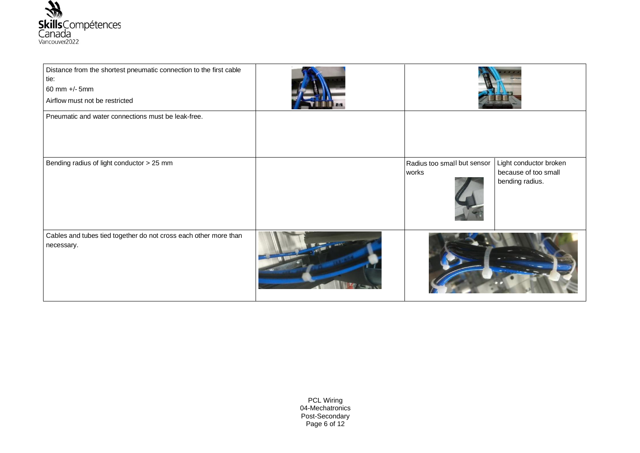

| Distance from the shortest pneumatic connection to the first cable<br>tie:<br>60 mm +/- 5mm<br>Airflow must not be restricted |                                      |                                                                   |
|-------------------------------------------------------------------------------------------------------------------------------|--------------------------------------|-------------------------------------------------------------------|
| Pneumatic and water connections must be leak-free.                                                                            |                                      |                                                                   |
| Bending radius of light conductor > 25 mm                                                                                     | Radius too small but sensor<br>works | Light conductor broken<br>because of too small<br>bending radius. |
| Cables and tubes tied together do not cross each other more than<br>necessary.                                                |                                      |                                                                   |

PCL Wiring 04-Mechatronics Post-Secondary Page 6 of 12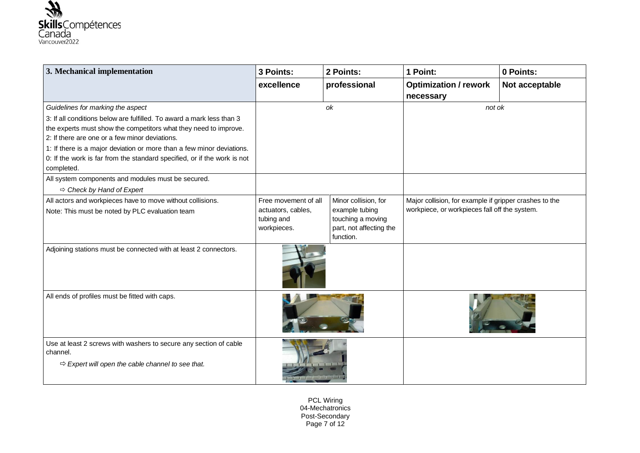

| 3. Mechanical implementation                                                                                                                                                                                                                                                                                                                                   | 3 Points:                                                               | 2 Points:                                                                                           | 1 Point:                                                                                                | 0 Points:      |
|----------------------------------------------------------------------------------------------------------------------------------------------------------------------------------------------------------------------------------------------------------------------------------------------------------------------------------------------------------------|-------------------------------------------------------------------------|-----------------------------------------------------------------------------------------------------|---------------------------------------------------------------------------------------------------------|----------------|
|                                                                                                                                                                                                                                                                                                                                                                | excellence                                                              | professional                                                                                        | <b>Optimization / rework</b><br>necessary                                                               | Not acceptable |
| Guidelines for marking the aspect                                                                                                                                                                                                                                                                                                                              |                                                                         | ok                                                                                                  | not ok                                                                                                  |                |
| 3: If all conditions below are fulfilled. To award a mark less than 3<br>the experts must show the competitors what they need to improve.<br>2: If there are one or a few minor deviations.<br>1: If there is a major deviation or more than a few minor deviations.<br>0: If the work is far from the standard specified, or if the work is not<br>completed. |                                                                         |                                                                                                     |                                                                                                         |                |
| All system components and modules must be secured.<br>$\Rightarrow$ Check by Hand of Expert                                                                                                                                                                                                                                                                    |                                                                         |                                                                                                     |                                                                                                         |                |
| All actors and workpieces have to move without collisions.<br>Note: This must be noted by PLC evaluation team                                                                                                                                                                                                                                                  | Free movement of all<br>actuators, cables,<br>tubing and<br>workpieces. | Minor collision, for<br>example tubing<br>touching a moving<br>part, not affecting the<br>function. | Major collision, for example if gripper crashes to the<br>workpiece, or workpieces fall off the system. |                |
| Adjoining stations must be connected with at least 2 connectors.                                                                                                                                                                                                                                                                                               |                                                                         |                                                                                                     |                                                                                                         |                |
| All ends of profiles must be fitted with caps.                                                                                                                                                                                                                                                                                                                 |                                                                         |                                                                                                     |                                                                                                         |                |
| Use at least 2 screws with washers to secure any section of cable<br>channel.<br>$\Rightarrow$ Expert will open the cable channel to see that.                                                                                                                                                                                                                 |                                                                         |                                                                                                     |                                                                                                         |                |

PCL Wiring 04-Mechatronics Post-Secondary Page 7 of 12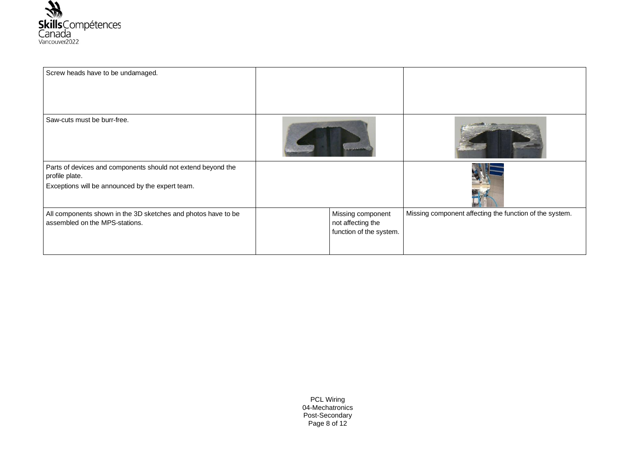

| Screw heads have to be undamaged.                                                                                                  |                                                                   |                                                         |
|------------------------------------------------------------------------------------------------------------------------------------|-------------------------------------------------------------------|---------------------------------------------------------|
| Saw-cuts must be burr-free.                                                                                                        |                                                                   |                                                         |
| Parts of devices and components should not extend beyond the<br>profile plate.<br>Exceptions will be announced by the expert team. |                                                                   |                                                         |
| All components shown in the 3D sketches and photos have to be<br>assembled on the MPS-stations.                                    | Missing component<br>not affecting the<br>function of the system. | Missing component affecting the function of the system. |

PCL Wiring 04-Mechatronics Post-Secondary Page 8 of 12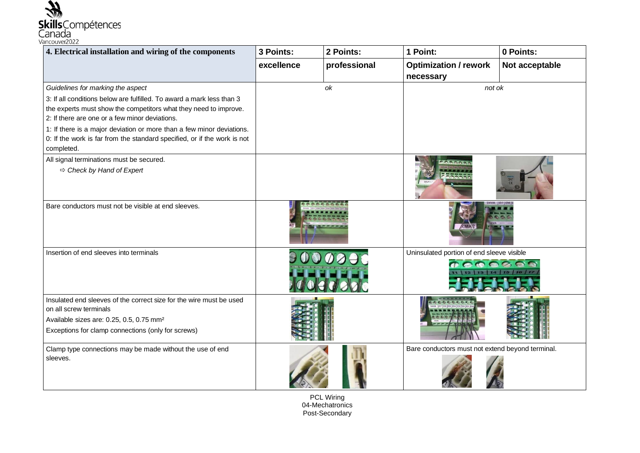

| 4. Electrical installation and wiring of the components                                                                                                                                                                                                                                                                                                                                             | 3 Points:  | 2 Points:    | 1 Point:                                            | 0 Points:         |
|-----------------------------------------------------------------------------------------------------------------------------------------------------------------------------------------------------------------------------------------------------------------------------------------------------------------------------------------------------------------------------------------------------|------------|--------------|-----------------------------------------------------|-------------------|
|                                                                                                                                                                                                                                                                                                                                                                                                     | excellence | professional | <b>Optimization / rework</b><br>necessary           | Not acceptable    |
| Guidelines for marking the aspect<br>3: If all conditions below are fulfilled. To award a mark less than 3<br>the experts must show the competitors what they need to improve.<br>2: If there are one or a few minor deviations.<br>1: If there is a major deviation or more than a few minor deviations.<br>0: If the work is far from the standard specified, or if the work is not<br>completed. |            | ok           | not ok                                              |                   |
| All signal terminations must be secured.<br>$\Rightarrow$ Check by Hand of Expert                                                                                                                                                                                                                                                                                                                   |            |              |                                                     |                   |
| Bare conductors must not be visible at end sleeves.                                                                                                                                                                                                                                                                                                                                                 |            |              |                                                     |                   |
| Insertion of end sleeves into terminals                                                                                                                                                                                                                                                                                                                                                             |            |              | Uninsulated portion of end sleeve visible<br>DODOOR | 12 13 14 15 16 17 |
| Insulated end sleeves of the correct size for the wire must be used<br>on all screw terminals<br>Available sizes are: 0.25, 0.5, 0.75 mm <sup>2</sup><br>Exceptions for clamp connections (only for screws)                                                                                                                                                                                         |            |              |                                                     |                   |
| Clamp type connections may be made without the use of end<br>sleeves.                                                                                                                                                                                                                                                                                                                               |            |              | Bare conductors must not extend beyond terminal.    |                   |

PCL Wiring 04-Mechatronics Post-Secondary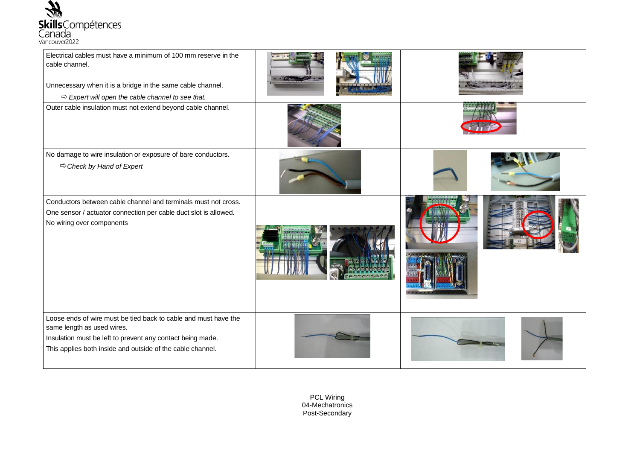

| Electrical cables must have a minimum of 100 mm reserve in the<br>cable channel.<br>Unnecessary when it is a bridge in the same cable channel.<br>$\Rightarrow$ Expert will open the cable channel to see that.           |  |
|---------------------------------------------------------------------------------------------------------------------------------------------------------------------------------------------------------------------------|--|
| Outer cable insulation must not extend beyond cable channel.                                                                                                                                                              |  |
| No damage to wire insulation or exposure of bare conductors.<br>$\Rightarrow$ Check by Hand of Expert                                                                                                                     |  |
| Conductors between cable channel and terminals must not cross.<br>One sensor / actuator connection per cable duct slot is allowed.<br>No wiring over components                                                           |  |
| Loose ends of wire must be tied back to cable and must have the<br>same length as used wires.<br>Insulation must be left to prevent any contact being made.<br>This applies both inside and outside of the cable channel. |  |

PCL Wiring 04-Mechatronics Post-Secondary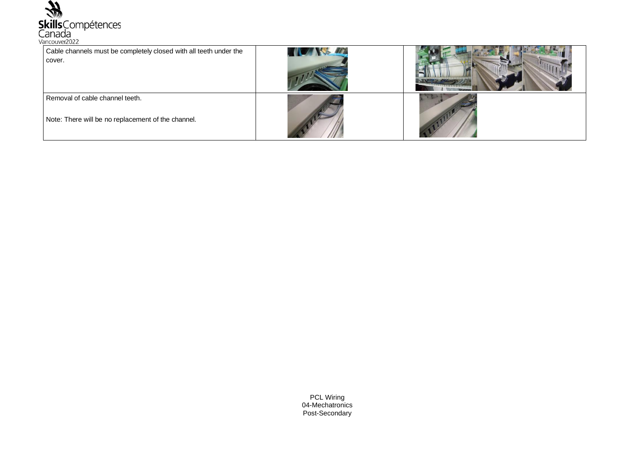

| Cable channels must be completely closed with all teeth under the<br>cover.           | <b>TIME AND AIT</b> |  |
|---------------------------------------------------------------------------------------|---------------------|--|
| Removal of cable channel teeth.<br>Note: There will be no replacement of the channel. |                     |  |

PCL Wiring 04-Mechatronics Post-Secondary